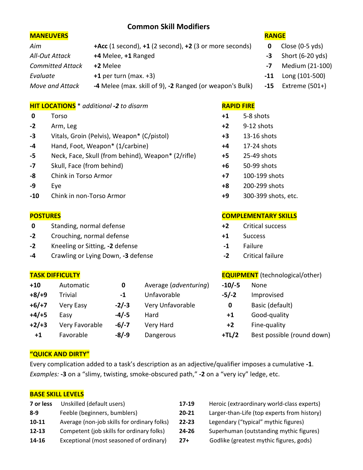# **Common Skill Modifiers**

## **MANEUVERS RANGE**

| Aim                     | $+Acc$ (1 second), $+1$ (2 second), $+2$ (3 or more seconds) |  |
|-------------------------|--------------------------------------------------------------|--|
| All-Out Attack          | +4 Melee, +1 Ranged                                          |  |
| <b>Committed Attack</b> | +2 Melee                                                     |  |
| Evaluate                | $+1$ per turn (max. $+3$ )                                   |  |
| Move and Attack         | -4 Melee (max. skill of 9), -2 Ranged (or weapon's Bulk)     |  |

## **HIT LOCATIONS** \* *additional -2 to disarm* **RAPID FIRE**

| $\mathbf 0$ | Torso                                              | $+1$ | 5-8 shots      |
|-------------|----------------------------------------------------|------|----------------|
| $-2$        | Arm, Leg                                           | $+2$ | 9-12 shots     |
| $-3$        | Vitals, Groin (Pelvis), Weapon* (C/pistol)         | $+3$ | 13-16 shots    |
| $-4$        | Hand, Foot, Weapon* (1/carbine)                    | $+4$ | $17-24$ shots  |
| -5          | Neck, Face, Skull (from behind), Weapon* (2/rifle) | $+5$ | 25-49 shots    |
| $-7$        | Skull, Face (from behind)                          | $+6$ | 50-99 shots    |
| -8          | Chink in Torso Armor                               | $+7$ | 100-199 shots  |
| -9          | Eye                                                | $+8$ | 200-299 shots  |
| $-10$       | Chink in non-Torso Armor                           | +9   | 300-399 shots, |
|             |                                                    |      |                |

- **0** Standing, normal defense **+2** Critical success
- **-2** Crouching, normal defense **+1** Success
- **-2** Kneeling or Sitting, **-2** defense **-1** Failure
- **-4** Crawling or Lying Down, **-3** defense **-2** Critical failure

| $+10$   | Automatic        | 0       | Average (adventuring) | $-10/-5$ | None                       |
|---------|------------------|---------|-----------------------|----------|----------------------------|
| $+8/+9$ | Trivial          | -1      | Unfavorable           | $-5/-2$  | Improvised                 |
| $+6/+7$ | <b>Very Easy</b> | $-2/-3$ | Very Unfavorable      | 0        | Basic (default)            |
| $+4/+5$ | Easy             | $-4/-5$ | Hard                  | $+1$     | Good-quality               |
| $+2/+3$ | Very Favorable   | $-6/-7$ | Very Hard             | $+2$     | Fine-quality               |
| $+1$    | Favorable        | $-8/-9$ | Dangerous             | $+TL/2$  | Best possible (round down) |

| $+1$ | 5-8 shots    |
|------|--------------|
| +2   | $9-12$ shots |
| +3   | 13-16 shots  |
| +4   | 17-24 shots  |
| +5   | 25-49 shots  |
| +6   | 50-99 shots  |

- **-8** Chink in Torso Armor **+7** 100-199 shots
- 
- **-10** Chink in non-Torso Armor **+9** 300-399 shots, etc.

## **POSTURES COMPLEMENTARY SKILLS**

- 
- 
- 
- 

## **TASK DIFFICULTY EQUIPMENT** (technological/other)

| $-10/-5$ | None                    |
|----------|-------------------------|
| $-5/-2$  | Improvised              |
| 0        | Basic (default)         |
| $+1$     | Good-quality            |
| $+2$     | Fine-quality            |
| $+TL/2$  | Best possible (round do |

## **"QUICK AND DIRTY"**

Every complication added to a task's description as an adjective/qualifier imposes a cumulative **-1**. *Examples:* **-3** on a "slimy, twisting, smoke-obscured path," **-2** on a "very icy" ledge, etc.

## **BASE SKILL LEVELS**

| Unskilled (default users)                   | 17-19     | H٥ |
|---------------------------------------------|-----------|----|
| Feeble (beginners, bumblers)                | $20 - 21$ | La |
| Average (non-job skills for ordinary folks) | $22 - 23$ | Le |
| Competent (job skills for ordinary folks)   | 24-26     | Sι |
| Exceptional (most seasoned of ordinary)     | $27+$     | G  |
|                                             |           |    |

- **Proic (extraordinary world-class experts) 8** arger-than-Life (top experts from history)
- **12** *10* Average (for typical" mythic figures)
- 12-13 perhuman (outstanding mythic figures)
- - **0dlike (greatest mythic figures, gods)**

- **0** Close (0-5 yds)
- **-3** Short (6-20 yds)
- *Committed Attack* **+2** Melee **-7** Medium (21-100)
- **-11** Long (101-500)
- **45** Extreme (501+)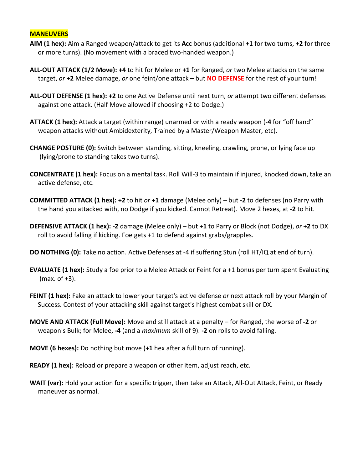### **MANEUVERS**

- **AIM (1 hex):** Aim a Ranged weapon/attack to get its **Acc** bonus (additional **+1** for two turns, **+2** for three or more turns). (No movement with a braced two-handed weapon.)
- **ALL-OUT ATTACK (1/2 Move): +4** to hit for Melee or **+1** for Ranged, *or* two Melee attacks on the same target, *or* **+2** Melee damage, *or* one feint/one attack – but **NO DEFENSE** for the rest of your turn!
- **ALL-OUT DEFENSE (1 hex): +2** to one Active Defense until next turn, *or* attempt two different defenses against one attack. (Half Move allowed if choosing +2 to Dodge.)
- **ATTACK (1 hex):** Attack a target (within range) unarmed or with a ready weapon (**-4** for "off hand" weapon attacks without Ambidexterity, Trained by a Master/Weapon Master, etc).
- **CHANGE POSTURE (0):** Switch between standing, sitting, kneeling, crawling, prone, or lying face up (lying/prone to standing takes two turns).
- **CONCENTRATE (1 hex):** Focus on a mental task. Roll Will-3 to maintain if injured, knocked down, take an active defense, etc.
- **COMMITTED ATTACK (1 hex): +2** to hit *or* **+1** damage (Melee only) but **-2** to defenses (no Parry with the hand you attacked with, no Dodge if you kicked. Cannot Retreat). Move 2 hexes, at **-2** to hit.
- **DEFENSIVE ATTACK (1 hex): -2** damage (Melee only) but **+1** to Parry or Block (not Dodge), *or* **+2** to DX roll to avoid falling if kicking. Foe gets +1 to defend against grabs/grapples.
- **DO NOTHING (0):** Take no action. Active Defenses at -4 if suffering Stun (roll HT/IQ at end of turn).
- **EVALUATE (1 hex):** Study a foe prior to a Melee Attack or Feint for a +1 bonus per turn spent Evaluating (max. of +3).
- **FEINT (1 hex):** Fake an attack to lower your target's active defense *or* next attack roll by your Margin of Success. Contest of your attacking skill against target's highest combat skill or DX.
- **MOVE AND ATTACK (Full Move):** Move and still attack at a penalty for Ranged, the worse of **-2** or weapon's Bulk; for Melee, **-4** (and a *maximum* skill of 9). **-2** on rolls to avoid falling.
- **MOVE (6 hexes):** Do nothing but move (**+1** hex after a full turn of running).
- **READY (1 hex):** Reload or prepare a weapon or other item, adjust reach, etc.
- **WAIT (var):** Hold your action for a specific trigger, then take an Attack, All-Out Attack, Feint, or Ready maneuver as normal.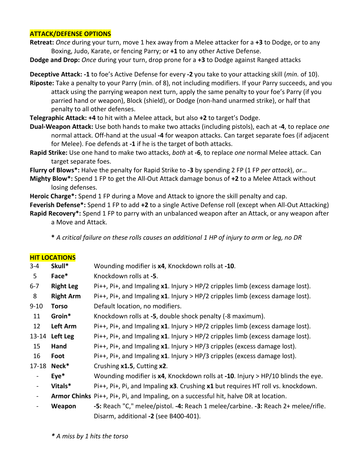## **ATTACK/DEFENSE OPTIONS**

**Retreat:** *Once* during your turn, move 1 hex away from a Melee attacker for a **+3** to Dodge, or to any Boxing, Judo, Karate, or fencing Parry; or **+1** to any other Active Defense.

**Dodge and Drop:** *Once* during your turn, drop prone for a **+3** to Dodge against Ranged attacks

**Deceptive Attack: -1** to foe's Active Defense for every **-2** you take to your attacking skill (*min.* of 10).

**Riposte:** Take a penalty to your Parry (min. of 8), not including modifiers. If your Parry succeeds, and you attack using the parrying weapon next turn, apply the same penalty to your foe's Parry (if you parried hand or weapon), Block (shield), or Dodge (non-hand unarmed strike), or half that penalty to all other defenses.

**Telegraphic Attack: +4** to hit with a Melee attack, but also **+2** to target's Dodge.

**Dual-Weapon Attack:** Use both hands to make two attacks (including pistols), each at **-4**, to replace *one* normal attack. Off-hand at the usual **-4** for weapon attacks. Can target separate foes (if adjacent for Melee). Foe defends at **-1** if he is the target of both attacks.

**Rapid Strike:** Use one hand to make two attacks, *both* at **-6**, to replace *one* normal Melee attack. Can target separate foes.

**Flurry of Blows\*:** Halve the penalty for Rapid Strike to **-3** by spending 2 FP (1 FP *per attack*), *or*…

**Mighty Blow\*:** Spend 1 FP to get the All-Out Attack damage bonus of **+2** to a Melee Attack without losing defenses.

**Heroic Charge\*:** Spend 1 FP during a Move and Attack to ignore the skill penalty and cap.

**Feverish Defense\*:** Spend 1 FP to add **+2** to a single Active Defense roll (except when All-Out Attacking)

**Rapid Recovery\*:** Spend 1 FP to parry with an unbalanced weapon after an Attack, or any weapon after a Move and Attack.

**\*** *A critical failure on these rolls causes an additional 1 HP of injury to arm or leg, no DR*

| <b>HIT LOCATIONS</b> |                                                                                      |
|----------------------|--------------------------------------------------------------------------------------|
| Skull*               | Wounding modifier is x4, Knockdown rolls at -10.                                     |
| Face*                | Knockdown rolls at -5.                                                               |
| <b>Right Leg</b>     | Pi++, Pi+, and Impaling $x1$ . Injury > HP/2 cripples limb (excess damage lost).     |
| <b>Right Arm</b>     | Pi++, Pi+, and Impaling $x1$ . Injury > HP/2 cripples limb (excess damage lost).     |
| <b>Torso</b>         | Default location, no modifiers.                                                      |
| Groin*               | Knockdown rolls at -5, double shock penalty (-8 maximum).                            |
| Left Arm             | Pi++, Pi+, and Impaling $x1$ . Injury > HP/2 cripples limb (excess damage lost).     |
| 13-14 Left Leg       | Pi++, Pi+, and Impaling $x1$ . Injury > HP/2 cripples limb (excess damage lost).     |
| Hand                 | Pi++, Pi+, and Impaling $x1$ . Injury > HP/3 cripples (excess damage lost).          |
| Foot                 | Pi++, Pi+, and Impaling $x1$ . Injury > HP/3 cripples (excess damage lost).          |
| 17-18 Neck*          | Crushing x1.5, Cutting x2.                                                           |
| $Eye*$               | Wounding modifier is $x4$ , Knockdown rolls at -10. Injury > HP/10 blinds the eye.   |
| Vitals*              | Pi++, Pi+, Pi, and Impaling x3. Crushing x1 but requires HT roll vs. knockdown.      |
|                      | Armor Chinks Pi++, Pi+, Pi, and Impaling, on a successful hit, halve DR at location. |
| Weapon               | -5: Reach "C," melee/pistol. -4: Reach 1 melee/carbine. -3: Reach 2+ melee/rifle.    |
|                      |                                                                                      |

Disarm, additional **-2** (see B400-401).

*\* A miss by 1 hits the torso*